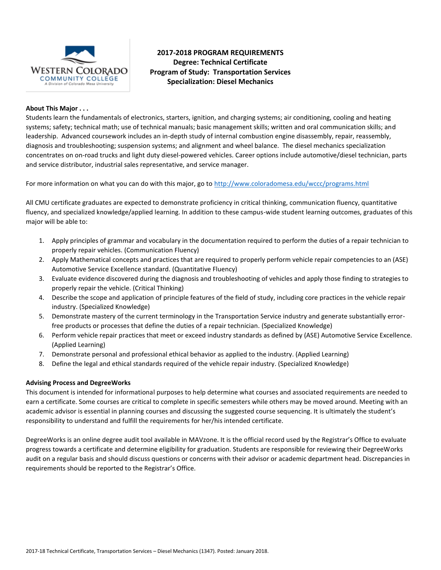

# **2017-2018 PROGRAM REQUIREMENTS Degree: Technical Certificate Program of Study: Transportation Services Specialization: Diesel Mechanics**

## **About This Major . . .**

Students learn the fundamentals of electronics, starters, ignition, and charging systems; air conditioning, cooling and heating systems; safety; technical math; use of technical manuals; basic management skills; written and oral communication skills; and leadership. Advanced coursework includes an in-depth study of internal combustion engine disassembly, repair, reassembly, diagnosis and troubleshooting; suspension systems; and alignment and wheel balance. The diesel mechanics specialization concentrates on on-road trucks and light duty diesel-powered vehicles. Career options include automotive/diesel technician, parts and service distributor, industrial sales representative, and service manager.

For more information on what you can do with this major, go to<http://www.coloradomesa.edu/wccc/programs.html>

All CMU certificate graduates are expected to demonstrate proficiency in critical thinking, communication fluency, quantitative fluency, and specialized knowledge/applied learning. In addition to these campus-wide student learning outcomes, graduates of this major will be able to:

- 1. Apply principles of grammar and vocabulary in the documentation required to perform the duties of a repair technician to properly repair vehicles. (Communication Fluency)
- 2. Apply Mathematical concepts and practices that are required to properly perform vehicle repair competencies to an (ASE) Automotive Service Excellence standard. (Quantitative Fluency)
- 3. Evaluate evidence discovered during the diagnosis and troubleshooting of vehicles and apply those finding to strategies to properly repair the vehicle. (Critical Thinking)
- 4. Describe the scope and application of principle features of the field of study, including core practices in the vehicle repair industry. (Specialized Knowledge)
- 5. Demonstrate mastery of the current terminology in the Transportation Service industry and generate substantially errorfree products or processes that define the duties of a repair technician. (Specialized Knowledge)
- 6. Perform vehicle repair practices that meet or exceed industry standards as defined by (ASE) Automotive Service Excellence. (Applied Learning)
- 7. Demonstrate personal and professional ethical behavior as applied to the industry. (Applied Learning)
- 8. Define the legal and ethical standards required of the vehicle repair industry. (Specialized Knowledge)

### **Advising Process and DegreeWorks**

This document is intended for informational purposes to help determine what courses and associated requirements are needed to earn a certificate. Some courses are critical to complete in specific semesters while others may be moved around. Meeting with an academic advisor is essential in planning courses and discussing the suggested course sequencing. It is ultimately the student's responsibility to understand and fulfill the requirements for her/his intended certificate.

DegreeWorks is an online degree audit tool available in MAVzone. It is the official record used by the Registrar's Office to evaluate progress towards a certificate and determine eligibility for graduation. Students are responsible for reviewing their DegreeWorks audit on a regular basis and should discuss questions or concerns with their advisor or academic department head. Discrepancies in requirements should be reported to the Registrar's Office.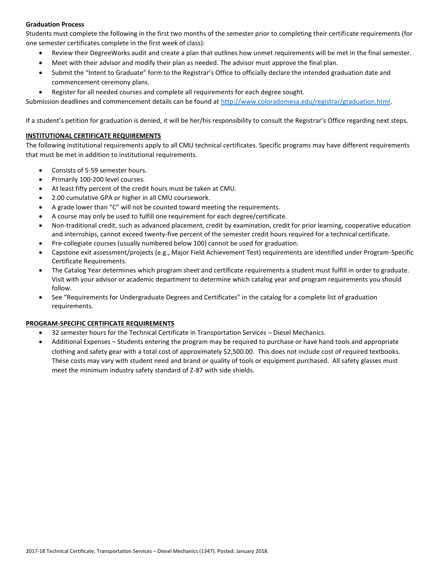## **Graduation Process**

Students must complete the following in the first two months of the semester prior to completing their certificate requirements (for one semester certificates complete in the first week of class):

- Review their DegreeWorks audit and create a plan that outlines how unmet requirements will be met in the final semester.
- Meet with their advisor and modify their plan as needed. The advisor must approve the final plan.
- Submit the "Intent to Graduate" form to the Registrar's Office to officially declare the intended graduation date and commencement ceremony plans.
- Register for all needed courses and complete all requirements for each degree sought.

Submission deadlines and commencement details can be found at [http://www.coloradomesa.edu/registrar/graduation.html.](http://www.coloradomesa.edu/registrar/graduation.html)

If a student's petition for graduation is denied, it will be her/his responsibility to consult the Registrar's Office regarding next steps.

## **INSTITUTIONAL CERTIFICATE REQUIREMENTS**

The following institutional requirements apply to all CMU technical certificates. Specific programs may have different requirements that must be met in addition to institutional requirements.

- Consists of 5-59 semester hours.
- Primarily 100-200 level courses.
- At least fifty percent of the credit hours must be taken at CMU.
- 2.00 cumulative GPA or higher in all CMU coursework.
- A grade lower than "C" will not be counted toward meeting the requirements.
- A course may only be used to fulfill one requirement for each degree/certificate.
- Non-traditional credit, such as advanced placement, credit by examination, credit for prior learning, cooperative education and internships, cannot exceed twenty-five percent of the semester credit hours required for a technical certificate.
- Pre-collegiate courses (usually numbered below 100) cannot be used for graduation.
- Capstone exit assessment/projects (e.g., Major Field Achievement Test) requirements are identified under Program-Specific Certificate Requirements.
- The Catalog Year determines which program sheet and certificate requirements a student must fulfill in order to graduate. Visit with your advisor or academic department to determine which catalog year and program requirements you should follow.
- See "Requirements for Undergraduate Degrees and Certificates" in the catalog for a complete list of graduation requirements.

## **PROGRAM-SPECIFIC CERTIFICATE REQUIREMENTS**

- 32 semester hours for the Technical Certificate in Transportation Services Diesel Mechanics.
- Additional Expenses Students entering the program may be required to purchase or have hand tools and appropriate clothing and safety gear with a total cost of approximately \$2,500.00. This does not include cost of required textbooks. These costs may vary with student need and brand or quality of tools or equipment purchased. All safety glasses must meet the minimum industry safety standard of Z-87 with side shields.